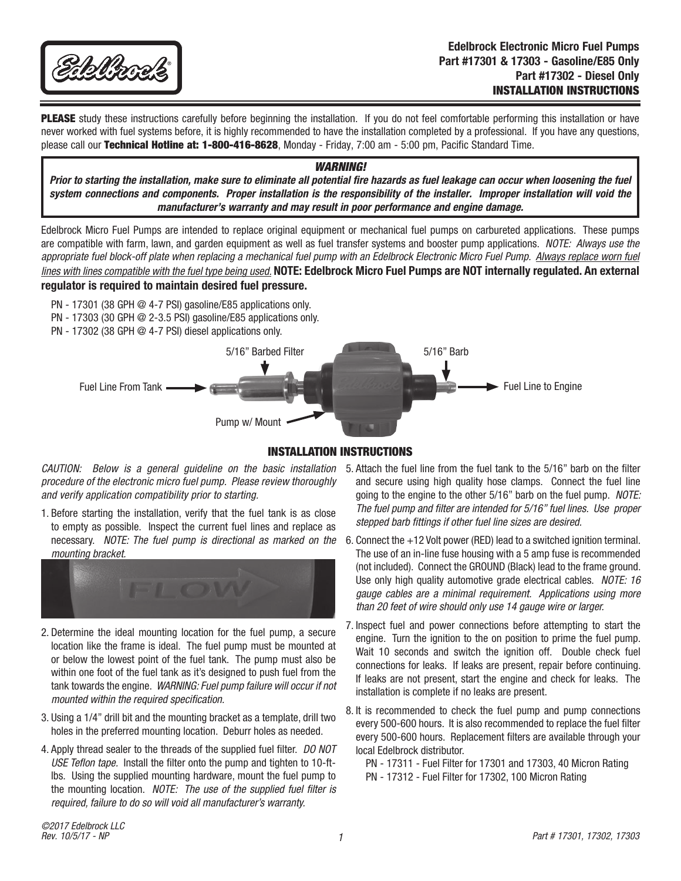

PLEASE study these instructions carefully before beginning the installation. If you do not feel comfortable performing this installation or have never worked with fuel systems before, it is highly recommended to have the installation completed by a professional. If you have any questions, please call our Technical Hotline at: 1-800-416-8628, Monday - Friday, 7:00 am - 5:00 pm, Pacific Standard Time.

#### *WARNING!*

*Prior to starting the installation, make sure to eliminate all potential fire hazards as fuel leakage can occur when loosening the fuel system connections and components. Proper installation is the responsibility of the installer. Improper installation will void the manufacturer's warranty and may result in poor performance and engine damage.*

Edelbrock Micro Fuel Pumps are intended to replace original equipment or mechanical fuel pumps on carbureted applications. These pumps are compatible with farm, lawn, and garden equipment as well as fuel transfer systems and booster pump applications. *NOTE: Always use the*  appropriate fuel block-off plate when replacing a mechanical fuel pump with an Edelbrock Electronic Micro Fuel Pump. Always replace worn fuel *lines with lines compatible with the fuel type being used.* **NOTE: Edelbrock Micro Fuel Pumps are NOT internally regulated. An external regulator is required to maintain desired fuel pressure.**

- PN 17301 (38 GPH @ 4-7 PSI) gasoline/E85 applications only.
- PN 17303 (30 GPH @ 2-3.5 PSI) gasoline/E85 applications only.
- PN 17302 (38 GPH @ 4-7 PSI) diesel applications only.



### INSTALLATION INSTRUCTIONS

*CAUTION: Below is a general guideline on the basic installation procedure of the electronic micro fuel pump. Please review thoroughly and verify application compatibility prior to starting.*

1. Before starting the installation, verify that the fuel tank is as close to empty as possible. Inspect the current fuel lines and replace as necessary. *NOTE: The fuel pump is directional as marked on the mounting bracket.* 



- 2. Determine the ideal mounting location for the fuel pump, a secure location like the frame is ideal. The fuel pump must be mounted at or below the lowest point of the fuel tank. The pump must also be within one foot of the fuel tank as it's designed to push fuel from the tank towards the engine. *WARNING: Fuel pump failure will occur if not mounted within the required specification.*
- 3. Using a 1/4" drill bit and the mounting bracket as a template, drill two holes in the preferred mounting location. Deburr holes as needed.
- 4. Apply thread sealer to the threads of the supplied fuel filter. *DO NOT USE Teflon tape.* Install the filter onto the pump and tighten to 10-ftlbs. Using the supplied mounting hardware, mount the fuel pump to the mounting location. *NOTE: The use of the supplied fuel filter is required, failure to do so will void all manufacturer's warranty.*
- 5. Attach the fuel line from the fuel tank to the 5/16" barb on the filter and secure using high quality hose clamps. Connect the fuel line going to the engine to the other 5/16" barb on the fuel pump. *NOTE: The fuel pump and filter are intended for 5/16" fuel lines. Use proper stepped barb fittings if other fuel line sizes are desired.*
- 6. Connect the +12 Volt power (RED) lead to a switched ignition terminal. The use of an in-line fuse housing with a 5 amp fuse is recommended (not included). Connect the GROUND (Black) lead to the frame ground. Use only high quality automotive grade electrical cables. *NOTE: 16 gauge cables are a minimal requirement. Applications using more than 20 feet of wire should only use 14 gauge wire or larger.*
- 7. Inspect fuel and power connections before attempting to start the engine. Turn the ignition to the on position to prime the fuel pump. Wait 10 seconds and switch the ignition off. Double check fuel connections for leaks. If leaks are present, repair before continuing. If leaks are not present, start the engine and check for leaks. The installation is complete if no leaks are present.
- 8. It is recommended to check the fuel pump and pump connections every 500-600 hours. It is also recommended to replace the fuel filter every 500-600 hours. Replacement filters are available through your local Edelbrock distributor.
	- PN 17311 Fuel Filter for 17301 and 17303, 40 Micron Rating PN - 17312 - Fuel Filter for 17302, 100 Micron Rating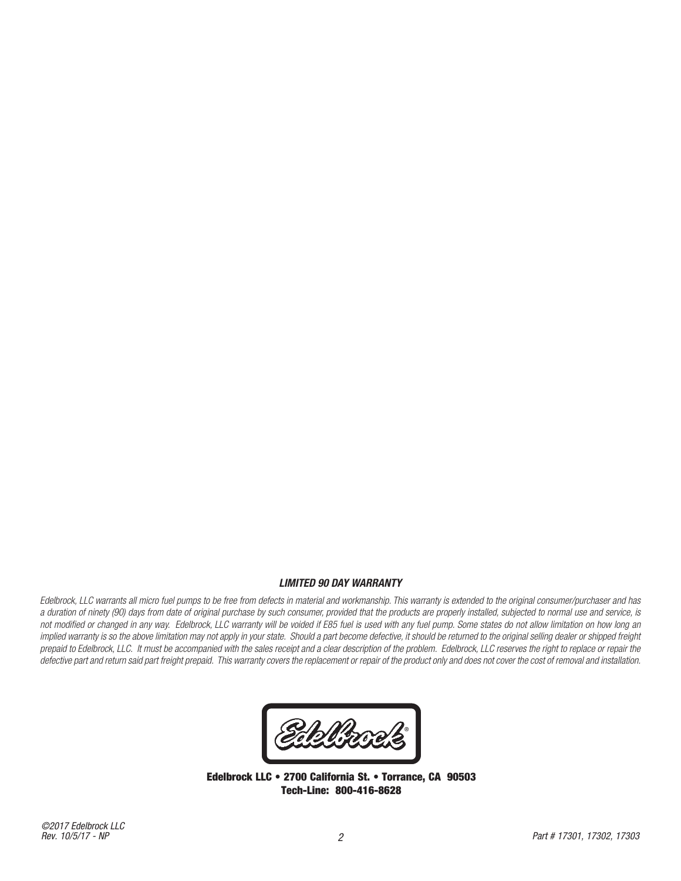## *LIMITED 90 DAY WARRANTY*

*Edelbrock, LLC warrants all micro fuel pumps to be free from defects in material and workmanship. This warranty is extended to the original consumer/purchaser and has a duration of ninety (90) days from date of original purchase by such consumer, provided that the products are properly installed, subjected to normal use and service, is not modified or changed in any way. Edelbrock, LLC warranty will be voided if E85 fuel is used with any fuel pump. Some states do not allow limitation on how long an*  implied warranty is so the above limitation may not apply in your state. Should a part become defective, it should be returned to the original selling dealer or shipped freight prepaid to Edelbrock, LLC. It must be accompanied with the sales receipt and a clear description of the problem. Edelbrock, LLC reserves the right to replace or repair the *defective part and return said part freight prepaid. This warranty covers the replacement or repair of the product only and does not cover the cost of removal and installation.*

**blizza ®**

Edelbrock LLC • 2700 California St. • Torrance, CA 90503 Tech-Line: 800-416-8628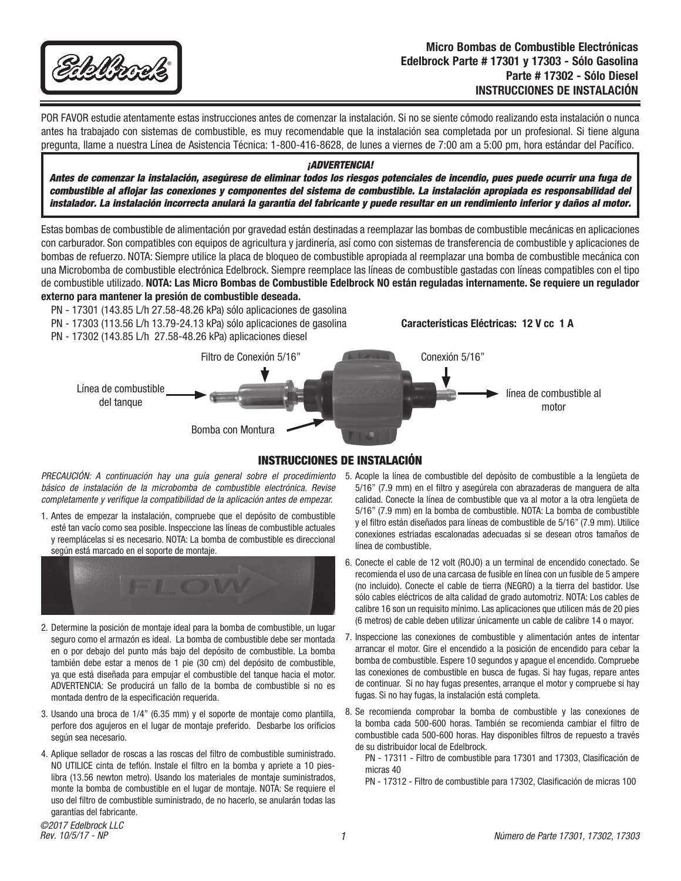

POR FAVOR estudie atentamente estas instrucciones antes de comenzar la instalación. Si no se siente cómodo realizando esta instalación o nunca antes ha trabajado con sistemas de combustible, es muy recomendable que la instalación sea completada por un profesional. Si tiene alguna pregunta, llame a nuestra Línea de Asistencia Técnica: 1-800-416-8628, de lunes a viernes de 7:00 am a 5:00 pm, hora estándar del Pacífico.

#### *¡ADVERTENCIA!*

*Antes de comenzar la instalación, asegúrese de eliminar todos los riesgos potenciales de incendio, pues puede ocurrir una fuga de combustible al aflojar las conexiones y componentes del sistema de combustible. La instalación apropiada es responsabilidad del instalador. La instalación incorrecta anulará la garantía del fabricante y puede resultar en un rendimiento inferior y daños al motor.*

Estas bombas de combustible de alimentación por gravedad están destinadas a reemplazar las bombas de combustible mecánicas en aplicaciones con carburador. Son compatibles con equipos de agricultura y jardinería, así como con sistemas de transferencia de combustible y aplicaciones de bombas de refuerzo. NOTA: Siempre utilice la placa de bloqueo de combustible apropiada al reemplazar una bomba de combustible mecánica con una Microbomba de combustible electrónica Edelbrock. Siempre reemplace las líneas de combustible gastadas con líneas compatibles con el tipo de combustible utilizado. **NOTA: Las Micro Bombas de Combustible Edelbrock NO están reguladas internamente. Se requiere un regulador externo para mantener la presión de combustible deseada.**

- PN 17301 (143.85 L/h 27.58-48.26 kPa) sólo aplicaciones de gasolina
- PN 17303 (113.56 L/h 13.79-24.13 kPa) sólo aplicaciones de gasolina **Características Eléctricas: 12 V cc 1 A**
- PN 17302 (143.85 L/h 27.58-48.26 kPa) aplicaciones diesel

Filtro de Conexión 5/16" Línea de combustible del tanque línea de combustible al motor Conexión 5/16" Bomba con Montura

## INSTRUCCIONES DE INSTALACIÓN

*básico de instalación de la microbomba de combustible electrónica. Revise completamente y verifique la compatibilidad de la aplicación antes de empezar.*

1. Antes de empezar la instalación, compruebe que el depósito de combustible esté tan vacío como sea posible. Inspeccione las líneas de combustible actuales y reemplácelas si es necesario. NOTA: La bomba de combustible es direccional según está marcado en el soporte de montaje.



- 2. Determine la posición de montaje ideal para la bomba de combustible, un lugar seguro como el armazón es ideal. La bomba de combustible debe ser montada en o por debajo del punto más bajo del depósito de combustible. La bomba también debe estar a menos de 1 pie (30 cm) del depósito de combustible, ya que está diseñada para empujar el combustible del tanque hacia el motor. ADVERTENCIA: Se producirá un fallo de la bomba de combustible si no es montada dentro de la especificación requerida.
- 3. Usando una broca de 1/4" (6.35 mm) y el soporte de montaje como plantilla, perfore dos agujeros en el lugar de montaje preferido. Desbarbe los orificios según sea necesario.
- 4. Aplique sellador de roscas a las roscas del filtro de combustible suministrado. NO UTILICE cinta de teflón. Instale el filtro en la bomba y apriete a 10 pieslibra (13.56 newton metro). Usando los materiales de montaje suministrados, monte la bomba de combustible en el lugar de montaje. NOTA: Se requiere el uso del filtro de combustible suministrado, de no hacerlo, se anularán todas las garantías del fabricante.
- PRECAUCIÓN: A continuación hay una guía general sobre el procedimiento 5. Acople la línea de combustible del depósito de combustible a la lengüeta de 5/16" (7.9 mm) en el filtro y asegúrela con abrazaderas de manguera de alta calidad. Conecte la línea de combustible que va al motor a la otra lengüeta de 5/16" (7.9 mm) en la bomba de combustible. NOTA: La bomba de combustible y el filtro están diseñados para líneas de combustible de 5/16" (7.9 mm). Utilice conexiones estriadas escalonadas adecuadas si se desean otros tamaños de línea de combustible.
	- 6. Conecte el cable de 12 volt (ROJO) a un terminal de encendido conectado. Se recomienda el uso de una carcasa de fusible en línea con un fusible de 5 ampere (no incluido). Conecte el cable de tierra (NEGRO) a la tierra del bastidor. Use sólo cables eléctricos de alta calidad de grado automotriz. NOTA: Los cables de calibre 16 son un requisito mínimo. Las aplicaciones que utilicen más de 20 pies (6 metros) de cable deben utilizar únicamente un cable de calibre 14 o mayor.
	- 7. Inspeccione las conexiones de combustible y alimentación antes de intentar arrancar el motor. Gire el encendido a la posición de encendido para cebar la bomba de combustible. Espere 10 segundos y apague el encendido. Compruebe las conexiones de combustible en busca de fugas. Si hay fugas, repare antes de continuar. Si no hay fugas presentes, arranque el motor y compruebe si hay fugas. Si no hay fugas, la instalación está completa.
	- 8. Se recomienda comprobar la bomba de combustible y las conexiones de la bomba cada 500-600 horas. También se recomienda cambiar el filtro de combustible cada 500-600 horas. Hay disponibles filtros de repuesto a través de su distribuidor local de Edelbrock.

PN - 17311 - Filtro de combustible para 17301 and 17303, Clasificación de micras 40

PN - 17312 - Filtro de combustible para 17302, Clasificación de micras 100